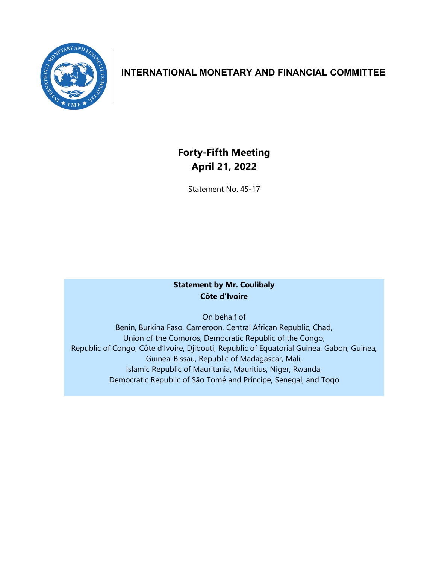

## **INTERNATIONAL MONETARY AND FINANCIAL COMMITTEE**

# **Forty-Fifth Meeting April 21, 2022**

Statement No. 45-17

## **Statement by Mr. Coulibaly Côte d'Ivoire**

On behalf of

Benin, Burkina Faso, Cameroon, Central African Republic, Chad, Union of the Comoros, Democratic Republic of the Congo, Republic of Congo, Côte d'Ivoire, Djibouti, Republic of Equatorial Guinea, Gabon, Guinea, Guinea-Bissau, Republic of Madagascar, Mali, Islamic Republic of Mauritania, Mauritius, Niger, Rwanda, Democratic Republic of São Tomé and Príncipe, Senegal, and Togo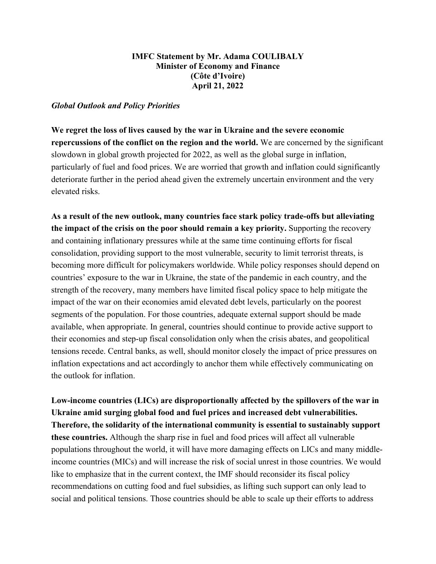#### **IMFC Statement by Mr. Adama COULIBALY Minister of Economy and Finance (Côte d'Ivoire) April 21, 2022**

#### *Global Outlook and Policy Priorities*

**We regret the loss of lives caused by the war in Ukraine and the severe economic repercussions of the conflict on the region and the world.** We are concerned by the significant slowdown in global growth projected for 2022, as well as the global surge in inflation, particularly of fuel and food prices. We are worried that growth and inflation could significantly deteriorate further in the period ahead given the extremely uncertain environment and the very elevated risks.

**As a result of the new outlook, many countries face stark policy trade-offs but alleviating the impact of the crisis on the poor should remain a key priority.** Supporting the recovery and containing inflationary pressures while at the same time continuing efforts for fiscal consolidation, providing support to the most vulnerable, security to limit terrorist threats, is becoming more difficult for policymakers worldwide. While policy responses should depend on countries' exposure to the war in Ukraine, the state of the pandemic in each country, and the strength of the recovery, many members have limited fiscal policy space to help mitigate the impact of the war on their economies amid elevated debt levels, particularly on the poorest segments of the population. For those countries, adequate external support should be made available, when appropriate. In general, countries should continue to provide active support to their economies and step-up fiscal consolidation only when the crisis abates, and geopolitical tensions recede. Central banks, as well, should monitor closely the impact of price pressures on inflation expectations and act accordingly to anchor them while effectively communicating on the outlook for inflation.

**Low-income countries (LICs) are disproportionally affected by the spillovers of the war in Ukraine amid surging global food and fuel prices and increased debt vulnerabilities. Therefore, the solidarity of the international community is essential to sustainably support these countries.** Although the sharp rise in fuel and food prices will affect all vulnerable populations throughout the world, it will have more damaging effects on LICs and many middleincome countries (MICs) and will increase the risk of social unrest in those countries. We would like to emphasize that in the current context, the IMF should reconsider its fiscal policy recommendations on cutting food and fuel subsidies, as lifting such support can only lead to social and political tensions. Those countries should be able to scale up their efforts to address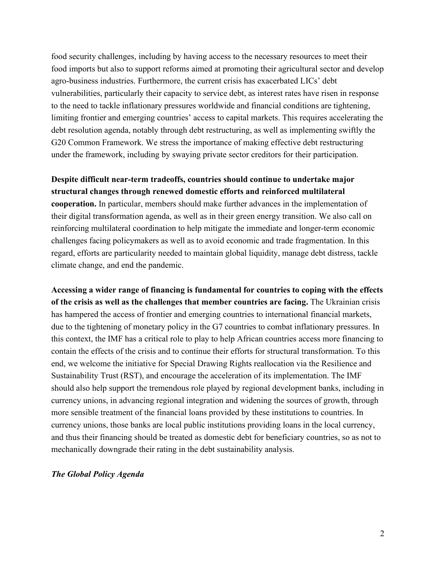food security challenges, including by having access to the necessary resources to meet their food imports but also to support reforms aimed at promoting their agricultural sector and develop agro-business industries. Furthermore, the current crisis has exacerbated LICs' debt vulnerabilities, particularly their capacity to service debt, as interest rates have risen in response to the need to tackle inflationary pressures worldwide and financial conditions are tightening, limiting frontier and emerging countries' access to capital markets. This requires accelerating the debt resolution agenda, notably through debt restructuring, as well as implementing swiftly the G20 Common Framework. We stress the importance of making effective debt restructuring under the framework, including by swaying private sector creditors for their participation.

### **Despite difficult near-term tradeoffs, countries should continue to undertake major structural changes through renewed domestic efforts and reinforced multilateral**

**cooperation.** In particular, members should make further advances in the implementation of their digital transformation agenda, as well as in their green energy transition. We also call on reinforcing multilateral coordination to help mitigate the immediate and longer-term economic challenges facing policymakers as well as to avoid economic and trade fragmentation. In this regard, efforts are particularity needed to maintain global liquidity, manage debt distress, tackle climate change, and end the pandemic.

**Accessing a wider range of financing is fundamental for countries to coping with the effects of the crisis as well as the challenges that member countries are facing.** The Ukrainian crisis has hampered the access of frontier and emerging countries to international financial markets, due to the tightening of monetary policy in the G7 countries to combat inflationary pressures. In this context, the IMF has a critical role to play to help African countries access more financing to contain the effects of the crisis and to continue their efforts for structural transformation. To this end, we welcome the initiative for Special Drawing Rights reallocation via the Resilience and Sustainability Trust (RST), and encourage the acceleration of its implementation. The IMF should also help support the tremendous role played by regional development banks, including in currency unions, in advancing regional integration and widening the sources of growth, through more sensible treatment of the financial loans provided by these institutions to countries. In currency unions, those banks are local public institutions providing loans in the local currency, and thus their financing should be treated as domestic debt for beneficiary countries, so as not to mechanically downgrade their rating in the debt sustainability analysis.

#### *The Global Policy Agenda*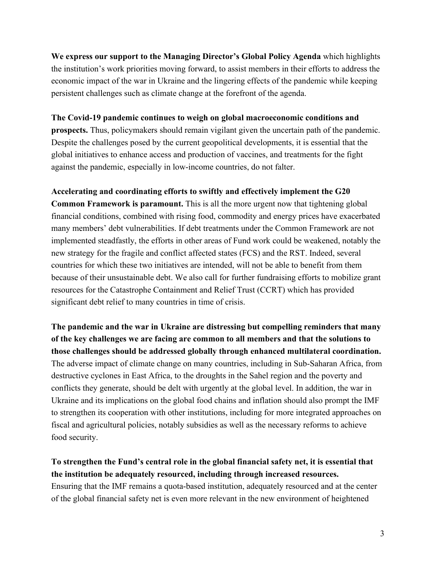**We express our support to the Managing Director's Global Policy Agenda** which highlights the institution's work priorities moving forward, to assist members in their efforts to address the economic impact of the war in Ukraine and the lingering effects of the pandemic while keeping persistent challenges such as climate change at the forefront of the agenda.

#### **The Covid-19 pandemic continues to weigh on global macroeconomic conditions and**

**prospects.** Thus, policymakers should remain vigilant given the uncertain path of the pandemic. Despite the challenges posed by the current geopolitical developments, it is essential that the global initiatives to enhance access and production of vaccines, and treatments for the fight against the pandemic, especially in low-income countries, do not falter.

#### **Accelerating and coordinating efforts to swiftly and effectively implement the G20**

**Common Framework is paramount.** This is all the more urgent now that tightening global financial conditions, combined with rising food, commodity and energy prices have exacerbated many members' debt vulnerabilities. If debt treatments under the Common Framework are not implemented steadfastly, the efforts in other areas of Fund work could be weakened, notably the new strategy for the fragile and conflict affected states (FCS) and the RST. Indeed, several countries for which these two initiatives are intended, will not be able to benefit from them because of their unsustainable debt. We also call for further fundraising efforts to mobilize grant resources for the Catastrophe Containment and Relief Trust (CCRT) which has provided significant debt relief to many countries in time of crisis.

**The pandemic and the war in Ukraine are distressing but compelling reminders that many of the key challenges we are facing are common to all members and that the solutions to those challenges should be addressed globally through enhanced multilateral coordination.** The adverse impact of climate change on many countries, including in Sub-Saharan Africa, from destructive cyclones in East Africa, to the droughts in the Sahel region and the poverty and conflicts they generate, should be delt with urgently at the global level. In addition, the war in Ukraine and its implications on the global food chains and inflation should also prompt the IMF to strengthen its cooperation with other institutions, including for more integrated approaches on fiscal and agricultural policies, notably subsidies as well as the necessary reforms to achieve food security.

**To strengthen the Fund's central role in the global financial safety net, it is essential that the institution be adequately resourced, including through increased resources.**  Ensuring that the IMF remains a quota-based institution, adequately resourced and at the center of the global financial safety net is even more relevant in the new environment of heightened